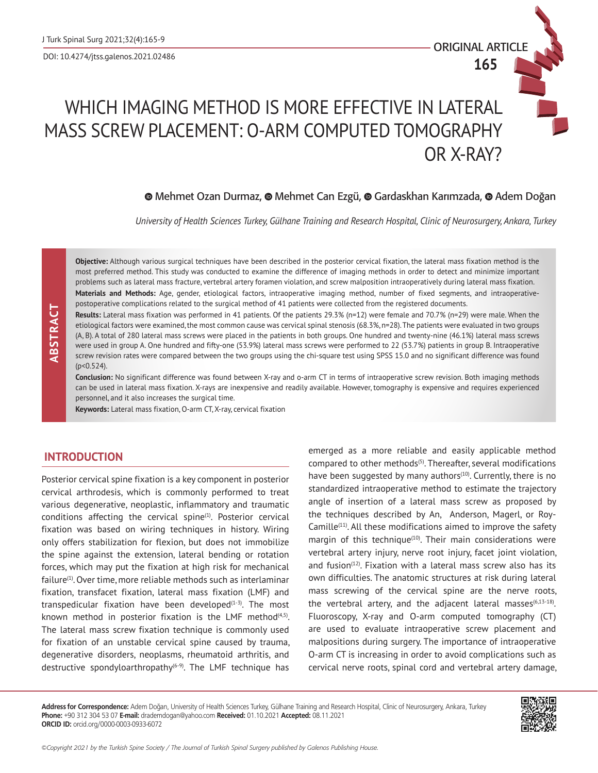DOI: 10.4274/jtss.galenos.2021.02486



# WHICH IMAGING METHOD IS MORE EFFECTIVE IN LATERAL MASS SCREW PLACEMENT: O-ARM COMPUTED TOMOGRAPHY OR X-RAY?

# **®**Mehmet Ozan Durmaz, <sup>®</sup> [M](https://orcid.org/0000-0001-7537-0055)ehmet Can Ezgü, <sup>®</sup> Gardaskhan Karımzada, <sup>®</sup> Adem Doğan

*University of Health Sciences Turkey, Gülhane Training and Research Hospital, Clinic of Neurosurgery, Ankara, Turkey*

**Objective:** Although various surgical techniques have been described in the posterior cervical fixation, the lateral mass fixation method is the most preferred method. This study was conducted to examine the difference of imaging methods in order to detect and minimize important problems such as lateral mass fracture, vertebral artery foramen violation, and screw malposition intraoperatively during lateral mass fixation. **Materials and Methods:** Age, gender, etiological factors, intraoperative imaging method, number of fixed segments, and intraoperativepostoperative complications related to the surgical method of 41 patients were collected from the registered documents.

**Results:** Lateral mass fixation was performed in 41 patients. Of the patients 29.3% (n=12) were female and 70.7% (n=29) were male. When the etiological factors were examined, the most common cause was cervical spinal stenosis (68.3%, n=28). The patients were evaluated in two groups (A, B). A total of 280 lateral mass screws were placed in the patients in both groups. One hundred and twenty-nine (46.1%) lateral mass screws were used in group A. One hundred and fifty-one (53.9%) lateral mass screws were performed to 22 (53.7%) patients in group B. Intraoperative screw revision rates were compared between the two groups using the chi-square test using SPSS 15.0 and no significant difference was found (p<0.524).

**Conclusion:** No significant difference was found between X-ray and o-arm CT in terms of intraoperative screw revision. Both imaging methods can be used in lateral mass fixation. X-rays are inexpensive and readily available. However, tomography is expensive and requires experienced personnel, and it also increases the surgical time.

**Keywords:** Lateral mass fixation, O-arm CT, X-ray, cervical fixation

## **INTRODUCTION**

 **ABSTRACT**

ABSTRACT

Posterior cervical spine fixation is a key component in posterior cervical arthrodesis, which is commonly performed to treat various degenerative, neoplastic, inflammatory and traumatic conditions affecting the cervical spine $(1)$ . Posterior cervical fixation was based on wiring techniques in history. Wiring only offers stabilization for flexion, but does not immobilize the spine against the extension, lateral bending or rotation forces, which may put the fixation at high risk for mechanical failure<sup>(1)</sup>. Over time, more reliable methods such as interlaminar fixation, transfacet fixation, lateral mass fixation (LMF) and transpedicular fixation have been developed $(1-3)$ . The most known method in posterior fixation is the LMF method<sup> $(4,5)$ </sup>. The lateral mass screw fixation technique is commonly used for fixation of an unstable cervical spine caused by trauma, degenerative disorders, neoplasms, rheumatoid arthritis, and destructive spondyloarthropathy $(6-9)$ . The LMF technique has

emerged as a more reliable and easily applicable method compared to other methods<sup>(5)</sup>. Thereafter, several modifications have been suggested by many authors<sup>(10)</sup>. Currently, there is no standardized intraoperative method to estimate the trajectory angle of insertion of a lateral mass screw as proposed by the techniques described by An, Anderson, Magerl, or Roy-Camille $(11)$ . All these modifications aimed to improve the safety margin of this technique $(10)$ . Their main considerations were vertebral artery injury, nerve root injury, facet joint violation, and fusion $(12)$ . Fixation with a lateral mass screw also has its own difficulties. The anatomic structures at risk during lateral mass screwing of the cervical spine are the nerve roots, the vertebral artery, and the adjacent lateral masses $(6,13-18)$ . Fluoroscopy, X-ray and O-arm computed tomography (CT) are used to evaluate intraoperative screw placement and malpositions during surgery. The importance of intraoperative O-arm CT is increasing in order to avoid complications such as cervical nerve roots, spinal cord and vertebral artery damage,

**Address for Correspondence:** Adem Doğan, University of Health Sciences Turkey, Gülhane Training and Research Hospital, Clinic of Neurosurgery, Ankara, Turkey **Phone:** +90 312 304 53 07 **E-mail:** drademdogan@yahoo.com **Received:** 01.10.2021 **Accepted:** 08.11.2021 **ORCID ID:** orcid.org/0000-0003-0933-6072

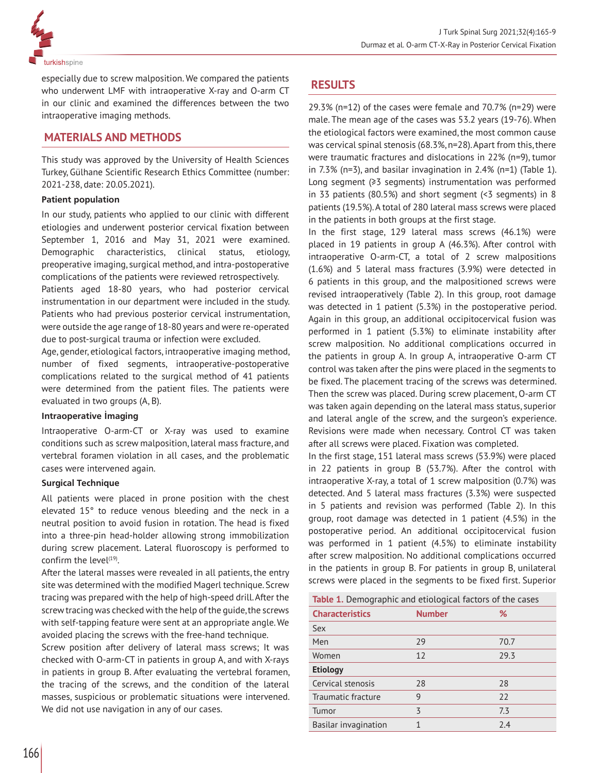

especially due to screw malposition. We compared the patients who underwent LMF with intraoperative X-ray and O-arm CT in our clinic and examined the differences between the two intraoperative imaging methods.

# **MATERIALS AND METHODS**

This study was approved by the University of Health Sciences Turkey, Gülhane Scientific Research Ethics Committee (number: 2021-238, date: 20.05.2021).

#### **Patient population**

In our study, patients who applied to our clinic with different etiologies and underwent posterior cervical fixation between September 1, 2016 and May 31, 2021 were examined. Demographic characteristics, clinical status, etiology, preoperative imaging, surgical method, and intra-postoperative complications of the patients were reviewed retrospectively.

Patients aged 18-80 years, who had posterior cervical instrumentation in our department were included in the study. Patients who had previous posterior cervical instrumentation, were outside the age range of 18-80 years and were re-operated due to post-surgical trauma or infection were excluded.

Age, gender, etiological factors, intraoperative imaging method, number of fixed segments, intraoperative-postoperative complications related to the surgical method of 41 patients were determined from the patient files. The patients were evaluated in two groups (A, B).

#### **Intraoperative İmaging**

Intraoperative O-arm-CT or X-ray was used to examine conditions such as screw malposition, lateral mass fracture, and vertebral foramen violation in all cases, and the problematic cases were intervened again.

#### **Surgical Technique**

All patients were placed in prone position with the chest elevated 15° to reduce venous bleeding and the neck in a neutral position to avoid fusion in rotation. The head is fixed into a three-pin head-holder allowing strong immobilization during screw placement. Lateral fluoroscopy is performed to confirm the level $(19)$ .

After the lateral masses were revealed in all patients, the entry site was determined with the modified Magerl technique. Screw tracing was prepared with the help of high-speed drill. After the screw tracing was checked with the help of the guide, the screws with self-tapping feature were sent at an appropriate angle.We avoided placing the screws with the free-hand technique.

Screw position after delivery of lateral mass screws; It was checked with O-arm-CT in patients in group A, and with X-rays in patients in group B. After evaluating the vertebral foramen, the tracing of the screws, and the condition of the lateral masses, suspicious or problematic situations were intervened. We did not use navigation in any of our cases.

# **RESULTS**

29.3% (n=12) of the cases were female and 70.7% (n=29) were male. The mean age of the cases was 53.2 years (19-76). When the etiological factors were examined, the most common cause was cervical spinal stenosis (68.3%, n=28). Apart from this, there were traumatic fractures and dislocations in 22% (n=9), tumor in 7.3% (n=3), and basilar invagination in 2.4% (n=1) (Table 1). Long segment (≥3 segments) instrumentation was performed in 33 patients (80.5%) and short segment (<3 segments) in 8 patients (19.5%). A total of 280 lateral mass screws were placed in the patients in both groups at the first stage.

In the first stage, 129 lateral mass screws (46.1%) were placed in 19 patients in group A (46.3%). After control with intraoperative O-arm-CT, a total of 2 screw malpositions (1.6%) and 5 lateral mass fractures (3.9%) were detected in 6 patients in this group, and the malpositioned screws were revised intraoperatively (Table 2). In this group, root damage was detected in 1 patient (5.3%) in the postoperative period. Again in this group, an additional occipitocervical fusion was performed in 1 patient (5.3%) to eliminate instability after screw malposition. No additional complications occurred in the patients in group A. In group A, intraoperative O-arm CT control was taken after the pins were placed in the segments to be fixed. The placement tracing of the screws was determined. Then the screw was placed. During screw placement, O-arm CT was taken again depending on the lateral mass status, superior and lateral angle of the screw, and the surgeon's experience. Revisions were made when necessary. Control CT was taken after all screws were placed. Fixation was completed.

In the first stage, 151 lateral mass screws (53.9%) were placed in 22 patients in group B (53.7%). After the control with intraoperative X-ray, a total of 1 screw malposition (0.7%) was detected. And 5 lateral mass fractures (3.3%) were suspected in 5 patients and revision was performed (Table 2). In this group, root damage was detected in 1 patient (4.5%) in the postoperative period. An additional occipitocervical fusion was performed in 1 patient (4.5%) to eliminate instability after screw malposition. No additional complications occurred in the patients in group B. For patients in group B, unilateral screws were placed in the segments to be fixed first. Superior

| Table 1. Demographic and etiological factors of the cases |  |  |
|-----------------------------------------------------------|--|--|
|                                                           |  |  |

| <b>Characteristics</b> | <b>Number</b> | %    |  |
|------------------------|---------------|------|--|
| Sex                    |               |      |  |
| Men                    | 29            | 70.7 |  |
| Women                  | 12            | 29.3 |  |
| <b>Etiology</b>        |               |      |  |
| Cervical stenosis      | 28            | 28   |  |
| Traumatic fracture     | 9             | 22   |  |
| Tumor                  | 3             | 7.3  |  |
| Basilar invagination   |               | 2.4  |  |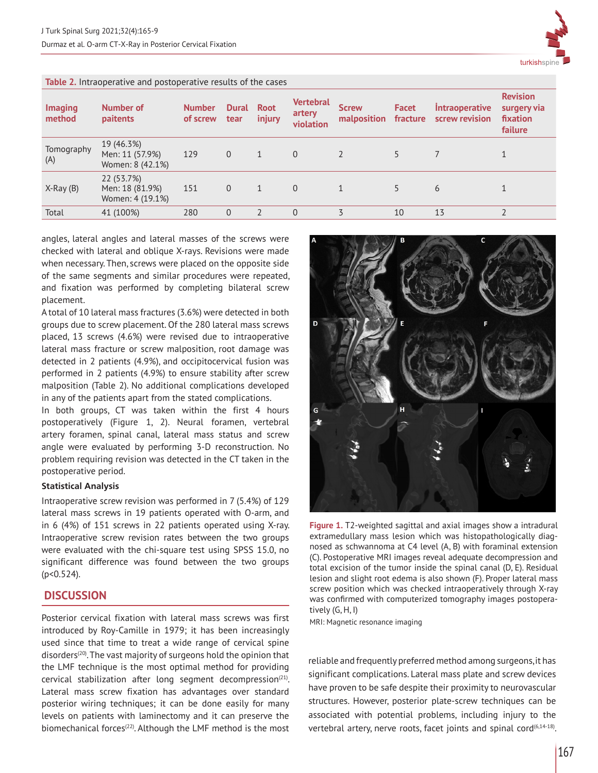| <b>Table 2.</b> Intraoperative and postoperative results of the cases |                                                   |                           |                      |                       |                                         |                             |                          |                                         |                                                       |
|-----------------------------------------------------------------------|---------------------------------------------------|---------------------------|----------------------|-----------------------|-----------------------------------------|-----------------------------|--------------------------|-----------------------------------------|-------------------------------------------------------|
| <b>Imaging</b><br>method                                              | Number of<br>paitents                             | <b>Number</b><br>of screw | <b>Dural</b><br>tear | <b>Root</b><br>injury | <b>Vertebral</b><br>artery<br>violation | <b>Screw</b><br>malposition | <b>Facet</b><br>fracture | <b>Intraoperative</b><br>screw revision | <b>Revision</b><br>surgery via<br>fixation<br>failure |
| Tomography<br>(A)                                                     | 19 (46.3%)<br>Men: 11 (57.9%)<br>Women: 8 (42.1%) | 129                       | $\Omega$             | $\mathbf{1}$          | $\Omega$                                |                             | 5                        |                                         |                                                       |
| $X-Ray(B)$                                                            | 22 (53.7%)<br>Men: 18 (81.9%)<br>Women: 4 (19.1%) | 151                       | $\overline{0}$       | $\overline{1}$        | $\Omega$                                |                             | 5                        | 6                                       |                                                       |
| Total                                                                 | 41 (100%)                                         | 280                       | $\overline{0}$       | $\overline{2}$        | $\overline{0}$                          | 3                           | 10                       | 13                                      | $\overline{2}$                                        |
|                                                                       |                                                   |                           |                      |                       |                                         |                             |                          |                                         |                                                       |

**Table 2.** Intraoperative and postoperative results of the cases

angles, lateral angles and lateral masses of the screws were checked with lateral and oblique X-rays. Revisions were made when necessary. Then, screws were placed on the opposite side of the same segments and similar procedures were repeated, and fixation was performed by completing bilateral screw placement.

A total of 10 lateral mass fractures (3.6%) were detected in both groups due to screw placement. Of the 280 lateral mass screws placed, 13 screws (4.6%) were revised due to intraoperative lateral mass fracture or screw malposition, root damage was detected in 2 patients (4.9%), and occipitocervical fusion was performed in 2 patients (4.9%) to ensure stability after screw malposition (Table 2). No additional complications developed in any of the patients apart from the stated complications.

In both groups, CT was taken within the first 4 hours postoperatively (Figure 1, 2). Neural foramen, vertebral artery foramen, spinal canal, lateral mass status and screw angle were evaluated by performing 3-D reconstruction. No problem requiring revision was detected in the CT taken in the postoperative period.

#### **Statistical Analysis**

Intraoperative screw revision was performed in 7 (5.4%) of 129 lateral mass screws in 19 patients operated with O-arm, and in 6 (4%) of 151 screws in 22 patients operated using X-ray. Intraoperative screw revision rates between the two groups were evaluated with the chi-square test using SPSS 15.0, no significant difference was found between the two groups (p<0.524).

## **DISCUSSION**

Posterior cervical fixation with lateral mass screws was first introduced by Roy-Camille in 1979; it has been increasingly used since that time to treat a wide range of cervical spine disorders<sup>(20)</sup>. The vast majority of surgeons hold the opinion that the LMF technique is the most optimal method for providing cervical stabilization after long segment decompression $(21)$ . Lateral mass screw fixation has advantages over standard posterior wiring techniques; it can be done easily for many levels on patients with laminectomy and it can preserve the biomechanical forces<sup>(22)</sup>. Although the LMF method is the most



**Figure 1.** T2-weighted sagittal and axial images show a intradural extramedullary mass lesion which was histopathologically diagnosed as schwannoma at C4 level (A, B) with foraminal extension (C). Postoperative MRI images reveal adequate decompression and total excision of the tumor inside the spinal canal (D, E). Residual lesion and slight root edema is also shown (F). Proper lateral mass screw position which was checked intraoperatively through X-ray was confirmed with computerized tomography images postoperatively (G, H, I)

MRI: Magnetic resonance imaging

reliable and frequently preferred method among surgeons, it has significant complications. Lateral mass plate and screw devices have proven to be safe despite their proximity to neurovascular structures. However, posterior plate-screw techniques can be associated with potential problems, including injury to the vertebral artery, nerve roots, facet joints and spinal cord<sup>(6,14-18)</sup>.

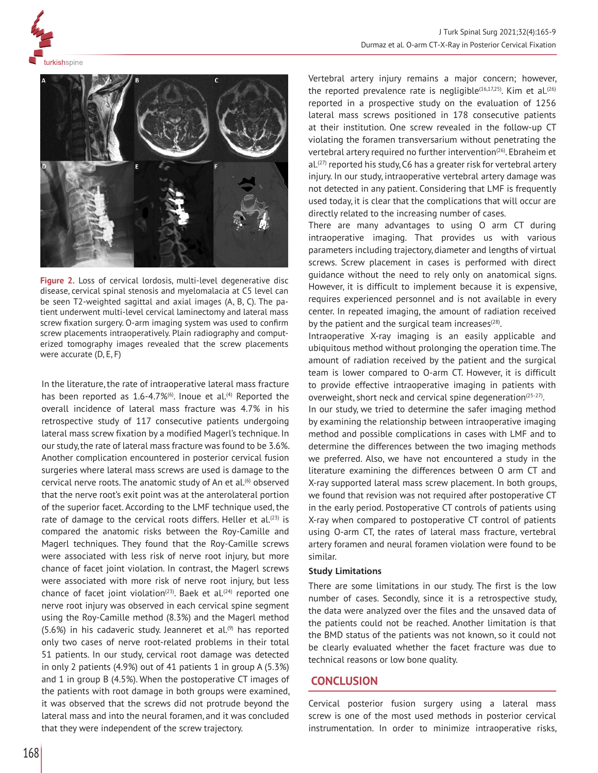



**Figure 2.** Loss of cervical lordosis, multi-level degenerative disc disease, cervical spinal stenosis and myelomalacia at C5 level can be seen T2-weighted sagittal and axial images (A, B, C). The patient underwent multi-level cervical laminectomy and lateral mass screw fixation surgery. O-arm imaging system was used to confirm screw placements intraoperatively. Plain radiography and computerized tomography images revealed that the screw placements were accurate (D, E, F)

In the literature, the rate of intraoperative lateral mass fracture has been reported as  $1.6 - 4.7\%$ <sup>(6)</sup>. Inoue et al.<sup>(4)</sup> Reported the overall incidence of lateral mass fracture was 4.7% in his retrospective study of 117 consecutive patients undergoing lateral mass screw fixation by a modified Magerl's technique. In our study, the rate of lateral mass fracture was found to be 3.6%. Another complication encountered in posterior cervical fusion surgeries where lateral mass screws are used is damage to the cervical nerve roots. The anatomic study of An et al.<sup>(6)</sup> observed that the nerve root's exit point was at the anterolateral portion of the superior facet. According to the LMF technique used, the rate of damage to the cervical roots differs. Heller et al. $(23)$  is compared the anatomic risks between the Roy-Camille and Magerl techniques. They found that the Roy-Camille screws were associated with less risk of nerve root injury, but more chance of facet joint violation. In contrast, the Magerl screws were associated with more risk of nerve root injury, but less chance of facet joint violation<sup>(23)</sup>. Baek et al.<sup>(24)</sup> reported one nerve root injury was observed in each cervical spine segment using the Roy-Camille method (8.3%) and the Magerl method  $(5.6%)$  in his cadaveric study. Jeanneret et al.<sup>(9)</sup> has reported only two cases of nerve root-related problems in their total 51 patients. In our study, cervical root damage was detected in only 2 patients (4.9%) out of 41 patients 1 in group A (5.3%) and 1 in group B (4.5%). When the postoperative CT images of the patients with root damage in both groups were examined, it was observed that the screws did not protrude beyond the lateral mass and into the neural foramen, and it was concluded that they were independent of the screw trajectory.

Vertebral artery injury remains a major concern; however, the reported prevalence rate is negligible<sup>(16,17,25)</sup>. Kim et al.<sup>(26)</sup> reported in a prospective study on the evaluation of 1256 lateral mass screws positioned in 178 consecutive patients at their institution. One screw revealed in the follow-up CT violating the foramen transversarium without penetrating the vertebral artery required no further intervention<sup>(26)</sup>. Ebraheim et al.<sup> $(27)$ </sup> reported his study, C6 has a greater risk for vertebral artery injury. In our study, intraoperative vertebral artery damage was not detected in any patient. Considering that LMF is frequently used today, it is clear that the complications that will occur are directly related to the increasing number of cases.

There are many advantages to using O arm CT during intraoperative imaging. That provides us with various parameters including trajectory, diameter and lengths of virtual screws. Screw placement in cases is performed with direct guidance without the need to rely only on anatomical signs. However, it is difficult to implement because it is expensive, requires experienced personnel and is not available in every center. In repeated imaging, the amount of radiation received by the patient and the surgical team increases $(28)$ .

Intraoperative X-ray imaging is an easily applicable and ubiquitous method without prolonging the operation time. The amount of radiation received by the patient and the surgical team is lower compared to O-arm CT. However, it is difficult to provide effective intraoperative imaging in patients with overweight, short neck and cervical spine degeneration $(25-27)$ .

In our study, we tried to determine the safer imaging method by examining the relationship between intraoperative imaging method and possible complications in cases with LMF and to determine the differences between the two imaging methods we preferred. Also, we have not encountered a study in the literature examining the differences between O arm CT and X-ray supported lateral mass screw placement. In both groups, we found that revision was not required after postoperative CT in the early period. Postoperative CT controls of patients using X-ray when compared to postoperative CT control of patients using O-arm CT, the rates of lateral mass fracture, vertebral artery foramen and neural foramen violation were found to be similar.

#### **Study Limitations**

There are some limitations in our study. The first is the low number of cases. Secondly, since it is a retrospective study, the data were analyzed over the files and the unsaved data of the patients could not be reached. Another limitation is that the BMD status of the patients was not known, so it could not be clearly evaluated whether the facet fracture was due to technical reasons or low bone quality.

### **CONCLUSION**

Cervical posterior fusion surgery using a lateral mass screw is one of the most used methods in posterior cervical instrumentation. In order to minimize intraoperative risks,